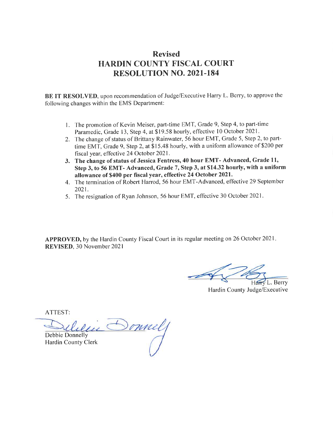# Revised HARDIN COUNTY FISCAL COURT RESOLUTION NO. 2021.184

BE IT RESOLVED, upon recommendation of Judge/Executive Harry L. Berry, to approve the following changes within the EMS Department:

- l. The promotion of Kevin Meiser, part-time EMT, Grade 9, Step 4, to part-time Paramedic, Grade 13, Step 4, at \$19.58 hourly, effective 10 October 2021.
- 2. The change of status of Brittany Rainwater, 56 hour EMT, Grade 5, Step 2, to parttime EMT, Grade 9, Step 2, at \$15.48 hourly, with a uniform allowance of \$200 per fiscal year, effective 24 October 2021.
- 3. The change of status of Jessica Fentress, 40 hour EMT- Advanced, Grade 11, Step 3, to 56 EMT- Advanced, Grade 7, Step 3, at \$14.32 hourly, with a uniform allowance of \$400 per fiscal year, effective24 October 2021.
- 4. The termination of Robert Harrod, 56 hour EMT-Advanced, effective 29 September 2021.
- 5. The resignation of Ryan Johnson, 56 hour EMT, effective 30 October 2021.

APPROVED, by the Hardin County Fiscal Court in its regular meeting on 26 October 2021. REVISED, 30 November 2021

**V** L. Berry

Hardin County Judge/Executive

ATTEST:

Sonnel Debbie Donnelly

Hardin County Clerk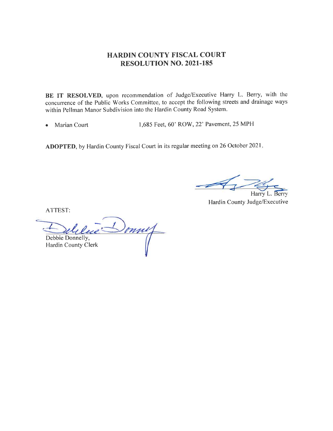### HARDIN COUNTY FISCAL COURT RESOLUTION NO. 2021.185

BE IT RESOLVED, upon recommendation of Judge/Executive Harry L. Berry, with the concurrence of the Public Works Committee, to accept the following streets and drainage ways within Pellman Manor Subdivision into the Hardin County Road System.

• Marian Court 1,685 Feet, 60' ROW, 22' Pavement, 25 MPH

ADOPTED, by Hardin County Fiscal Court in its regular meeting on 26 October 2021

**Harry** 

Berry Hardin County Judge/Executive

ATTEST:

onne Debbie Donnelly, Hardin County Clerk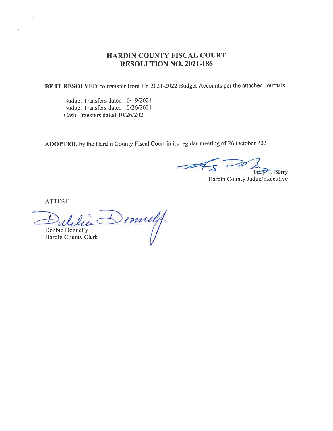### HARDIN COUNTY FISCAL COURT RESOLUTION NO. 2021-186

BE IT RESOLVED, to transfer from FY 2021-2022 Budget Accounts per the attached Journals:

Budget Transfers dated 10/19/2021 Budget Transfers dated 10/26/2021 Cash Transfers dated 10/26/2021

ADOPTED, by the Hardin County Fiscal Court in its regular meeting of 26 October 2021.

 $\n *1*$ Harry L. Berry

Hardin County Judge/Executive

ATTEST:

Imily Debbie Donnelly Hardin County Clerk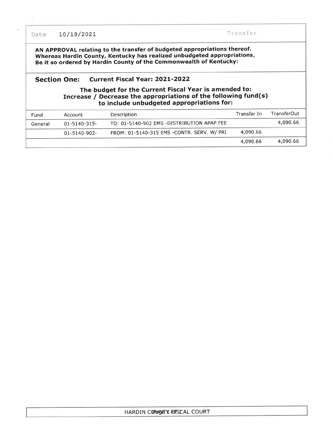Date 10/19/2021 Transfer

 $\bar{a}$ 

AN APPROVAL relating to the transfer of budgeted appropriations thereof. Whereas Hardin County, Kentucky has realized unbudgeted appropriations Be it so ordered by Hardin County of the Commonwealth of Kentucky:

#### Section One: Current Fiscal Year: 2021-2022

#### The budget for the Current Fiscal Year is amended to: Increase / Decrease the appropriations of the following fund(s) to include unbudgeted appropriations for:

| Fund    | Account           | Description                                | Transfer In | <b>TransferOut</b> |
|---------|-------------------|--------------------------------------------|-------------|--------------------|
| General | $01 - 5140 - 315$ | TO: 01-5140-902 EMS -DISTRIBUTION APAP FEE |             | 4,090.66           |
|         | 01-5140-902-      | FROM: 01-5140-315 EMS -CONTR. SERV. W/ PRI | 4,090.66    |                    |
|         |                   |                                            | 4,090.66    | 4,090.66           |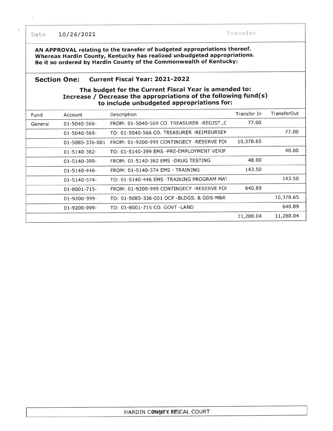Date 10/26/2021 Transfer

AN APPROVAL relating to the transfer of budgeted appropriations thereof. Whereas Hardin County, Kentucky has realized unbudgeted appropriations. Be it so ordered by Hardin County of the Commonwealth of Kentucky:

#### Section One: Current Fiscal Year: 2021-2022

#### The budget for the Current Fiscal Year is amended to: Increase / Decrease the appropriations of the following fund(s) to include unbudgeted appropriations for:

| Fund    | Account         | Description                                | Transfer In | TransferOut |
|---------|-----------------|--------------------------------------------|-------------|-------------|
| General | 01-5040-566-    | FROM: 01-5040-569 CO. TREASURER -REGIST.,C | 77.00       |             |
|         | 01-5040-569-    | TO: 01-5040-566 CO. TREASURER -REIMBURSEM  |             | 77.00       |
|         | 01-5085-336-001 | FROM: 01-9200-999 CONTINGECY -RESERVE FOF  | 10,378.65   |             |
|         | 01-5140-382-    | TO: 01-5140-399 EMS -PRE-EMPLOYMENT VERIF  |             | 48.00       |
|         | 01-5140-399-    | FROM: 01-5140-382 EMS -DRUG TESTING        | 48.00       |             |
|         | 01-5140-446-    | FROM: 01-5140-574 EMS - TRAINING           | 143.50      |             |
|         | 01-5140-574-    | TO: 01-5140-446 EMS -TRAINING PROGRAM MAT  |             | 143.50      |
|         | 01-8001-715-    | FROM: 01-9200-999 CONTINGECY -RESERVE FOR  | 640.89      |             |
|         | 01-9200-999-    | TO: 01-5085-336-001 OCP -BLDGS. & GDS-M&R  |             | 10,378.65   |
|         | 01-9200-999-    | TO: 01-8001-715 CO. GOVT -LAND             |             | 640.89      |
|         |                 |                                            | 11,288.04   | 11,288.04   |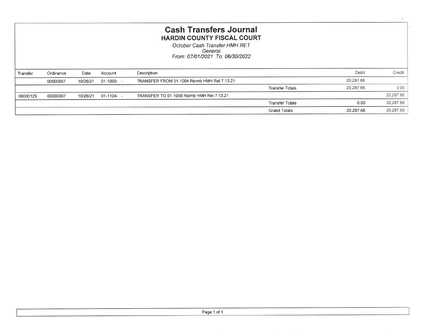| <b>Cash Transfers Journal</b><br><b>HARDIN COUNTY FISCAL COURT</b><br>October Cash Transfer HMH RET<br>General<br>From: 07/01/2021 To: 06/30/2022 |           |          |             |                                             |                        |           |           |
|---------------------------------------------------------------------------------------------------------------------------------------------------|-----------|----------|-------------|---------------------------------------------|------------------------|-----------|-----------|
| Transfer                                                                                                                                          | Ordinance | Date     | Account     | Description                                 |                        | Debit     | Credit    |
|                                                                                                                                                   | 00000097  | 10/26/21 | $01-1000 -$ | TRANSFER FROM 01-1004 Reimb HMH Ret 7.13.21 |                        | 20,287.66 |           |
|                                                                                                                                                   |           |          |             |                                             | <b>Transfer Totals</b> | 20,287.66 | 0,00      |
| 00000129                                                                                                                                          | 00000097  | 10/26/21 | $01-1104-$  | TRANSFER TO 01-1000 Reimb HMH Ret 7.13.21   |                        |           | 20,287.66 |
|                                                                                                                                                   |           |          |             |                                             | <b>Transfer Totals</b> | 0.00      | 20,287.66 |
|                                                                                                                                                   |           |          |             |                                             | <b>Grand Totals</b>    | 20,287.66 | 20,287.66 |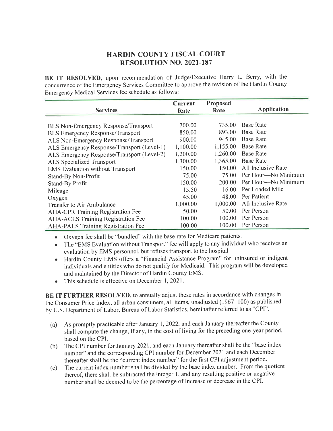# HARDIN COUNTY FISCAL COURT RESOLUTION NO. 2021.187

BE IT RESOLVED, upon recommendation of Judge/Executive Harry L. Berry, with the concurrence of the Emergency Services Committee to approve the revision of the Hardin County Emergency Medical Services fee schedule as follows:

|                                             | Current  | Proposed |                           |
|---------------------------------------------|----------|----------|---------------------------|
| <b>Services</b>                             | Rate     | Rate     | <b>Application</b>        |
|                                             |          |          |                           |
| <b>BLS Non-Emergency Response/Transport</b> | 700.00   | 735.00   | <b>Base Rate</b>          |
| <b>BLS Emergency Response/Transport</b>     | 850.00   | 893.00   | <b>Base Rate</b>          |
| ALS Non-Emergency Response/Transport        | 900.00   | 945.00   | <b>Base Rate</b>          |
| ALS Emergency Response/Transport (Level-1)  | 1,100.00 | 1,155.00 | <b>Base Rate</b>          |
| ALS Emergency Response/Transport (Level-2)  | 1,200.00 | 1,260.00 | <b>Base Rate</b>          |
| ALS Specialized Transport                   | 1,300.00 | 1,365.00 | <b>Base Rate</b>          |
| <b>EMS</b> Evaluation without Transport     | 150.00   | 150.00   | <b>All Inclusive Rate</b> |
| Stand-By Non-Profit                         | 75.00    | 75.00    | Per Hour—No Minimum       |
| <b>Stand-By Profit</b>                      | 150.00   | 200.00   | Per Hour-No Minimum       |
| Mileage                                     | 15.50    | 16.00    | Per Loaded Mile           |
| Oxygen                                      | 45.00    | 48.00    | Per Patient               |
| Transfer to Air Ambulance                   | 1,000.00 | 1,000.00 | All Inclusive Rate        |
| <b>AHA-CPR Training Registration Fee</b>    | 50.00    | 50.00    | Per Person                |
| <b>AHA-ACLS Training Registration Fee</b>   | 100.00   | 100.00   | Per Person                |
| <b>AHA-PALS Training Registration Fee</b>   | 100.00   | 100.00   | Per Person                |

. Oxygen fee shall be "bundled" with the base rate for Medicare patients.

• The "EMS Evaluation without Transport" fee will apply to any individual who receives an evaluation by EMS personnel, but refuses transport to the hospital

- . Hardin County EMS offers a "Financial Assistance Program" for uninsured or indigent individuals and entities who do not qualify for Medicaid. This program will be developed and maintained by the Director of Hardin County EMS.
- This schedule is effective on December 1, 2021.

BE IT FURTHER RESOLVED, to annually adjust these rates in accordance with changes in the Consumer Price Index, all urban consumers, all items, unadjusted (1967=100) as published by U.S. Department of Labor, Bureau of Labor Statistics, hereinafter referred to as "CPI".

- (a) As promptly practicable after January 1,2022, and each January thereafter the County shall compute the change, if any, in the cost of living for the preceding one-year period, based on the CPL
- (b) The CPI number for January 2021, and each January thereafter shall be the "base index number" and the corresponding CPI number for December 2021 and each December thereafter shall be the "current index number" for the first CPI adjustment period.
- The current index number shall be divided by the base index number. From the quotient thereof, there shall be subtracted the integer l, and any resulting positive or negative number shall be deemed to be the percentage of increase or decrease in the CPI. (c)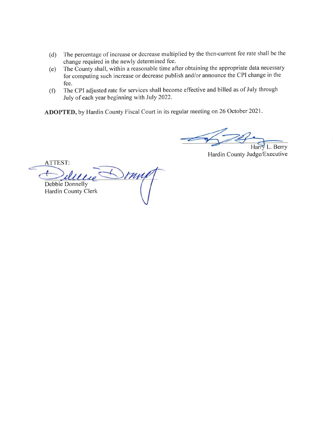- (d) The percentage of increase or decrease multiplied by the then-current fee rate shall be the change required in the newly determined fee.
- The County shall, within a reasonable time after obtaining the appropriate data necessary for computing such increase or decrease publish and/or announce the CPI change in the fee. (e)
- The CPI adjusted rate for services shall become effective and billed as of July through July of each year beginning with July 2022. (f)

ADOPTED, by Hardin County Fiscal Court in its regular meeting on 26 October 2021.

L. Berry

Hardin County Judge/Executive

ATTEST: our Debbie Donnelly Hardin County Clerk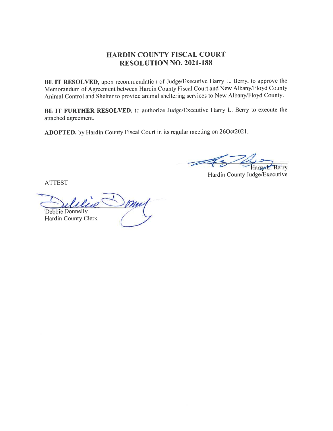## HARDIN COUNTY FISCAL COURT RESOLUTION NO. 2021.188

BE IT RESOLVED, upon recommendation of Judge/Executive Harry L. Berry, to approve the Memorandum of Agreement between Hardin County Fiscal Court and New Albany/Floyd County Animal Control and Shelter to provide animal sheltering services to New Albany/Floyd County.

BE IT FURTHER RESOLVED, to authorize Judge/Executive Harry L. Berry to execute the attached agreement.

ADOPTED, by Hardin County Fiscal Court in its regular meeting on 26Oct2021.

Berry

Hardin County Judge/Executive

ATTEST

 $\overline{\phantom{0}}$ Debbie Donnelly Hardin County Clerk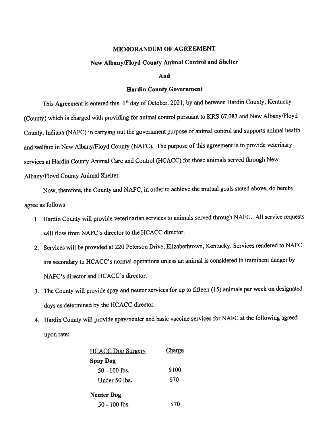#### MEMORANDUM OF AGREEMENT

#### New Albany/Floyd County Animal Control and Shelter

And

#### **Hardin County Government**

This Agreement is entered this 1<sup>st</sup> day of October, 2021, by and between Hardin County, Kentucky (County) which is charged with providing for animal control pursuant to KRS 67.083 and New Albany/Floyd County, Indiana (NAFC) in carrying out the government purpose of animal control and supports animal health and welfare in New Albany/Floyd County (NAFC). The purpose of this agreement is to provide veterinary services at Hardin County Animal Care and Control (HCACC) for those animals served through New Albany/Floyd County Animal Shelter.

Now, therefore, the County and NAFC, in order to achieve the mutual goals stated above, do hereby agree as follows:

- l. Hardin County will provide veterinarian services to animals served through NAFC. All service requests will flow from NAFC's director to the HCACC director.
- 2. Services will be provided at 220 Peterson Drive, Elizabethtown, Kentucky. Services rendered to NAFC are secondary to HCACC's normal operations unless an animal is considered in imminent danger by NAFC's director and HCACC's director.
- j. The County will provide spay and neuter services for up to fifteen (15) animals per week on designated days as determined by the HCACC director.
- 4. Hardin County will provide spay/neuter and basic vaccine services for NAFC at the following agreed upon rate:

| <b>HCACC Dog Surgery</b> | Charge |
|--------------------------|--------|
| Spay Dog                 |        |
| $50 - 100$ lbs.          | \$100  |
| Under 50 lbs.            | \$70   |
| Neuter Dog               |        |
| $50 - 100$ lbs.          | \$70   |